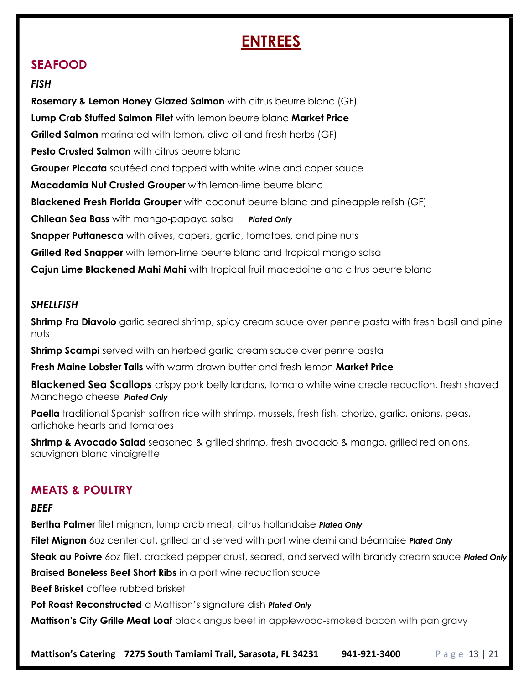# ENTREES

### SEAFOOD

#### **FISH**

**Rosemary & Lemon Honey Glazed Salmon** with citrus beurre blanc (GF) Lump Crab Stuffed Salmon Filet with lemon beurre blanc Market Price Grilled Salmon marinated with lemon, olive oil and fresh herbs (GF) **Pesto Crusted Salmon** with citrus beurre blanc **Grouper Piccata** sautéed and topped with white wine and caper sauce Macadamia Nut Crusted Grouper with lemon-lime beurre blanc **Blackened Fresh Florida Grouper** with coconut beurre blanc and pineapple relish (GF) **Chilean Sea Bass** with mango-papaya salsa Plated Only **Snapper Puttanesca** with olives, capers, garlic, tomatoes, and pine nuts **Grilled Red Snapper** with lemon-lime beurre blanc and tropical mango salsa **Cajun Lime Blackened Mahi Mahi** with tropical fruit macedoine and citrus beurre blanc

### SHELLFISH

**Shrimp Fra Diavolo** garlic seared shrimp, spicy cream sauce over penne pasta with fresh basil and pine nuts

**Shrimp Scampi** served with an herbed garlic cream sauce over penne pasta

Fresh Maine Lobster Tails with warm drawn butter and fresh lemon Market Price

**Blackened Sea Scallops** crispy pork belly lardons, tomato white wine creole reduction, fresh shaved Manchego cheese Plated Only

Paella traditional Spanish saffron rice with shrimp, mussels, fresh fish, chorizo, garlic, onions, peas, artichoke hearts and tomatoes

**Shrimp & Avocado Salad** seasoned & grilled shrimp, fresh avocado & mango, grilled red onions, sauvignon blanc vinaigrette

### MEATS & POULTRY

#### **BEEF**

**Bertha Palmer** filet mignon, lump crab meat, citrus hollandaise **Plated Only** 

Filet Mignon 60z center cut, grilled and served with port wine demi and béarnaise Plated Only

Steak au Poivre 60z filet, cracked pepper crust, seared, and served with brandy cream sauce Plated Only

**Braised Boneless Beef Short Ribs** in a port wine reduction sauce

Beef Brisket coffee rubbed brisket

Pot Roast Reconstructed a Mattison's signature dish Plated Only

**Mattison's City Grille Meat Loaf** black angus beef in applewood-smoked bacon with pan gravy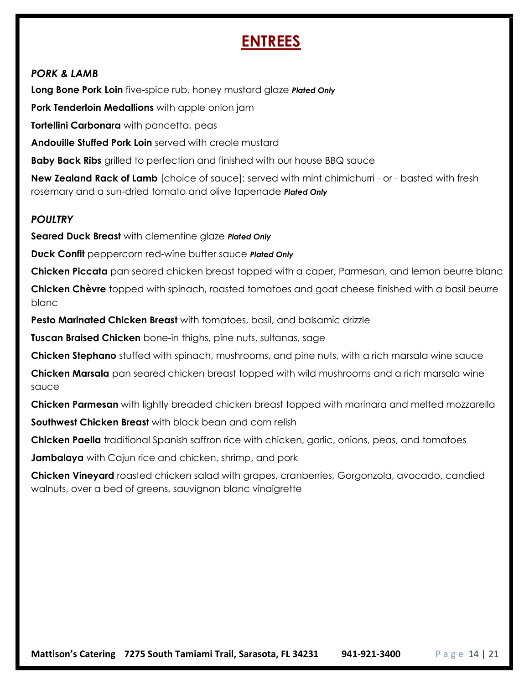## ENTREES

### PORK & LAMB

Long Bone Pork Loin five-spice rub, honey mustard glaze Plated Only

Pork Tenderloin Medallions with apple onion jam

Tortellini Carbonara with pancetta, peas

Andouille Stuffed Pork Loin served with creole mustard

**Baby Back Ribs** grilled to perfection and finished with our house BBQ sauce

**New Zealand Rack of Lamb** [choice of sauce]: served with mint chimichurri - or - basted with fresh rosemary and a sun-dried tomato and olive tapenade Plated Only

### **POULTRY**

Seared Duck Breast with clementine glaze Plated Only

Duck Confit peppercorn red-wine butter sauce Plated Only

**Chicken Piccata** pan seared chicken breast topped with a caper, Parmesan, and lemon beurre blanc

Chicken Chèvre topped with spinach, roasted tomatoes and goat cheese finished with a basil beurre blanc

**Pesto Marinated Chicken Breast** with tomatoes, basil, and balsamic drizzle

Tuscan Braised Chicken bone-in thighs, pine nuts, sultanas, sage

Chicken Stephano stuffed with spinach, mushrooms, and pine nuts, with a rich marsala wine sauce

**Chicken Marsala** pan seared chicken breast topped with wild mushrooms and a rich marsala wine sauce

**Chicken Parmesan** with lightly breaded chicken breast topped with marinara and melted mozzarella

Southwest Chicken Breast with black bean and corn relish

**Chicken Paella** traditional Spanish saffron rice with chicken, garlic, onions, peas, and tomatoes

**Jambalaya** with Cajun rice and chicken, shrimp, and pork

**Chicken Vineyard** roasted chicken salad with grapes, cranberries, Gorgonzola, avocado, candied walnuts, over a bed of greens, sauvignon blanc vinaigrette